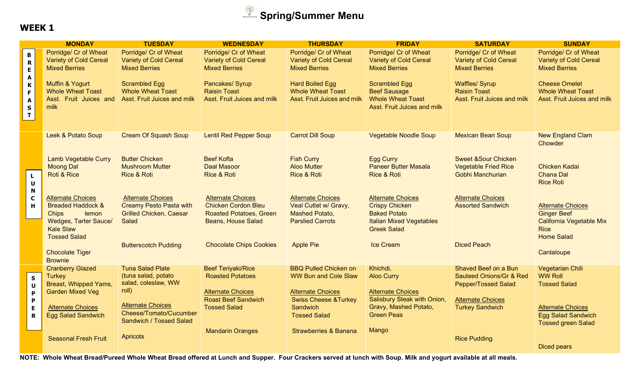

|                                                                       | <b>MONDAY</b>                                                                                                                         | <b>TUESDAY</b>                                                                                               | <b>WEDNESDAY</b>                                                                                                      | <b>THURSDAY</b>                                                                                       | <b>FRIDAY</b>                                                                                                                     | <b>SATURDAY</b>                                                                          | <b>SUNDAY</b>                                                                             |
|-----------------------------------------------------------------------|---------------------------------------------------------------------------------------------------------------------------------------|--------------------------------------------------------------------------------------------------------------|-----------------------------------------------------------------------------------------------------------------------|-------------------------------------------------------------------------------------------------------|-----------------------------------------------------------------------------------------------------------------------------------|------------------------------------------------------------------------------------------|-------------------------------------------------------------------------------------------|
| $\, {\bf B} \,$<br>$\overline{\mathbf{R}}$<br>E<br>$\pmb{\mathsf{A}}$ | Porridge/ Cr of Wheat<br><b>Variety of Cold Cereal</b><br><b>Mixed Berries</b>                                                        | Porridge/ Cr of Wheat<br><b>Variety of Cold Cereal</b><br><b>Mixed Berries</b>                               | Porridge/ Cr of Wheat<br><b>Variety of Cold Cereal</b><br><b>Mixed Berries</b>                                        | Porridge/ Cr of Wheat<br><b>Variety of Cold Cereal</b><br><b>Mixed Berries</b>                        | <b>Porridge/ Cr of Wheat</b><br><b>Variety of Cold Cereal</b><br><b>Mixed Berries</b>                                             | Porridge/ Cr of Wheat<br><b>Variety of Cold Cereal</b><br><b>Mixed Berries</b>           | Porridge/ Cr of Wheat<br><b>Variety of Cold Cereal</b><br><b>Mixed Berries</b>            |
| $\pmb{\mathsf{K}}$<br>$\mathsf F$<br>$\pmb{\mathsf{A}}$<br>$S$<br>$T$ | Muffin & Yogurt<br><b>Whole Wheat Toast</b><br>Asst. Fruit Juices and<br>milk                                                         | <b>Scrambled Egg</b><br><b>Whole Wheat Toast</b><br>Asst. Fruit Juices and milk                              | Pancakes/ Syrup<br><b>Raisin Toast</b><br>Asst. Fruit Juices and milk                                                 | <b>Hard Boiled Egg</b><br><b>Whole Wheat Toast</b><br>Asst. Fruit Juices and milk                     | <b>Scrambled Egg</b><br><b>Beef Sausage</b><br><b>Whole Wheat Toast</b><br>Asst. Fruit Juices and milk                            | <b>Waffles/ Syrup</b><br><b>Raisin Toast</b><br>Asst. Fruit Juices and milk              | <b>Cheese Omelet</b><br><b>Whole Wheat Toast</b><br>Asst. Fruit Juices and milk           |
|                                                                       | Leek & Potato Soup                                                                                                                    | <b>Cream Of Squash Soup</b>                                                                                  | <b>Lentil Red Pepper Soup</b>                                                                                         | <b>Carrot Dill Soup</b>                                                                               | <b>Vegetable Noodle Soup</b>                                                                                                      | <b>Mexican Bean Soup</b>                                                                 | <b>New England Clam</b><br>Chowder                                                        |
|                                                                       | <b>Lamb Vegetable Curry</b><br><b>Moong Dal</b>                                                                                       | <b>Butter Chicken</b><br><b>Mushroom Mutter</b>                                                              | <b>Beef Kofta</b><br><b>Daal Masoor</b>                                                                               | <b>Fish Curry</b><br><b>Aloo Mutter</b>                                                               | <b>Egg Curry</b><br><b>Paneer Butter Masala</b>                                                                                   | <b>Sweet &amp;Sour Chicken</b><br><b>Vegetable Fried Rice</b>                            | <b>Chicken Kadai</b>                                                                      |
| $\mathbf L$<br>$\mathbf U$<br>N                                       | Roti & Rice                                                                                                                           | <b>Rice &amp; Roti</b>                                                                                       | <b>Rice &amp; Roti</b>                                                                                                | <b>Rice &amp; Roti</b>                                                                                | Rice & Roti                                                                                                                       | Gobhi Manchurian                                                                         | <b>Chana Dal</b><br><b>Rice Roti</b>                                                      |
| $\mathbf c$<br>H                                                      | <b>Alternate Choices</b><br><b>Breaded Haddock &amp;</b><br>lemon<br><b>Chips</b><br><b>Wedges, Tarter Sauce/</b><br><b>Kale Slaw</b> | <b>Alternate Choices</b><br><b>Creamy Pesto Pasta with</b><br><b>Grilled Chicken, Caesar</b><br><b>Salad</b> | <b>Alternate Choices</b><br><b>Chicken Cordon Bleu</b><br><b>Roasted Potatoes, Green</b><br><b>Beans, House Salad</b> | <b>Alternate Choices</b><br>Veal Cutlet w/ Gravy,<br><b>Mashed Potato,</b><br><b>Parslied Carrots</b> | <b>Alternate Choices</b><br><b>Crispy Chicken</b><br><b>Baked Potato</b><br><b>Italian Mixed Vegetables</b><br><b>Greek Salad</b> | <b>Alternate Choices</b><br><b>Assorted Sandwich</b>                                     | <b>Alternate Choices</b><br><b>Ginger Beef</b><br>California Vegetable Mix<br><b>Rice</b> |
|                                                                       | <b>Tossed Salad</b><br><b>Chocolate Tiger</b><br><b>Brownie</b>                                                                       | <b>Butterscotch Pudding</b>                                                                                  | <b>Chocolate Chips Cookies</b>                                                                                        | <b>Apple Pie</b>                                                                                      | <b>Ice Cream</b>                                                                                                                  | <b>Diced Peach</b>                                                                       | <b>Home Salad</b><br>Cantaloupe                                                           |
| $\mathsf{s}$<br>$\mathbf U$                                           | <b>Cranberry Glazed</b><br><b>Turkey</b><br>Breast, Whipped Yams,                                                                     | <b>Tuna Salad Plate</b><br>(tuna salad, potato<br>salad, coleslaw, WW<br>roll)                               | <b>Beef Teriyaki/Rice</b><br><b>Roasted Potatoes</b>                                                                  | <b>BBQ Pulled Chicken on</b><br><b>WW Bun and Cole Slaw</b>                                           | Khichdi,<br><b>Aloo Curry</b>                                                                                                     | Shaved Beef on a Bun<br><b>Sauteed Onions/Gr &amp; Red</b><br><b>Pepper/Tossed Salad</b> | Vegetarian Chili<br><b>WW Roll</b><br><b>Tossed Salad</b>                                 |
| $\mathsf P$<br>$\mathbf P$<br>E<br>$\mathbf R$                        | <b>Garden Mixed Veg</b><br><b>Alternate Choices</b><br><b>Egg Salad Sandwich</b>                                                      | <b>Alternate Choices</b><br>Cheese/Tomato/Cucumber<br>Sandwich / Tossed Salad                                | <b>Alternate Choices</b><br><b>Roast Beef Sandwich</b><br><b>Tossed Salad</b>                                         | <b>Alternate Choices</b><br><b>Swiss Cheese &amp; Turkey</b><br>Sandwich<br><b>Tossed Salad</b>       | <b>Alternate Choices</b><br>Salisbury Steak with Onion,<br>Gravy, Mashed Potato,<br><b>Green Peas</b>                             | <b>Alternate Choices</b><br><b>Turkey Sandwich</b>                                       | <b>Alternate Choices</b><br><b>Egg Salad Sandwich</b><br><b>Tossed green Salad</b>        |
|                                                                       | <b>Seasonal Fresh Fruit</b>                                                                                                           | <b>Apricots</b>                                                                                              | <b>Mandarin Oranges</b>                                                                                               | <b>Strawberries &amp; Banana</b>                                                                      | Mango                                                                                                                             | <b>Rice Pudding</b>                                                                      | <b>Diced pears</b>                                                                        |

NOTE: Whole Wheat Bread/Pureed Whole Wheat Bread offered at Lunch and Supper. Four Crackers served at lunch with Soup. Milk and yogurt available at all meals.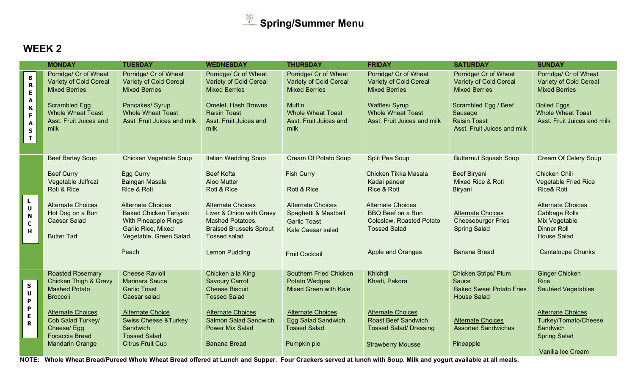

|                                                                                                                                        | <b>MONDAY</b>                                                                                                                                                       | <b>TUESDAY</b>                                                                                                                                                 | <b>WEDNESDAY</b>                                                                                                                                                      | <b>THURSDAY</b>                                                                                                                                               | <b>FRIDAY</b>                                                                                                                                                      | <b>SATURDAY</b>                                                                                                                                                         | <b>SUNDAY</b>                                                                                                                                                   |
|----------------------------------------------------------------------------------------------------------------------------------------|---------------------------------------------------------------------------------------------------------------------------------------------------------------------|----------------------------------------------------------------------------------------------------------------------------------------------------------------|-----------------------------------------------------------------------------------------------------------------------------------------------------------------------|---------------------------------------------------------------------------------------------------------------------------------------------------------------|--------------------------------------------------------------------------------------------------------------------------------------------------------------------|-------------------------------------------------------------------------------------------------------------------------------------------------------------------------|-----------------------------------------------------------------------------------------------------------------------------------------------------------------|
| B<br>R<br>$\bar{\textbf{E}}$<br>$\pmb{\mathsf{A}}$<br>$\pmb{\mathsf{K}}$<br>$\mathsf F$<br>$\blacktriangle$<br>$\sf{s}$<br>$\mathbf T$ | Porridge/ Cr of Wheat<br><b>Variety of Cold Cereal</b><br><b>Mixed Berries</b><br>Scrambled Egg<br><b>Whole Wheat Toast</b><br>Asst. Fruit Juices and<br>milk       | Porridge/ Cr of Wheat<br>Variety of Cold Cereal<br><b>Mixed Berries</b><br>Pancakes/ Syrup<br><b>Whole Wheat Toast</b><br>Asst. Fruit Juices and milk          | Porridge/ Cr of Wheat<br><b>Variety of Cold Cereal</b><br><b>Mixed Berries</b><br><b>Omelet, Hash Browns</b><br><b>Raisin Toast</b><br>Asst. Fruit Juices and<br>milk | Porridge/ Cr of Wheat<br><b>Variety of Cold Cereal</b><br><b>Mixed Berries</b><br><b>Muffin</b><br><b>Whole Wheat Toast</b><br>Asst. Fruit Juices and<br>milk | Porridge/ Cr of Wheat<br><b>Variety of Cold Cereal</b><br><b>Mixed Berries</b><br><b>Waffles/ Syrup</b><br><b>Whole Wheat Toast</b><br>Asst. Fruit Juices and milk | Porridge/ Cr of Wheat<br><b>Variety of Cold Cereal</b><br><b>Mixed Berries</b><br>Scrambled Egg / Beef<br>Sausage<br><b>Raisin Toast</b><br>Asst. Fruit Juices and milk | Porridge/ Cr of Wheat<br><b>Variety of Cold Cereal</b><br><b>Mixed Berries</b><br><b>Boiled Eggs</b><br><b>Whole Wheat Toast</b><br>Asst. Fruit Juices and milk |
|                                                                                                                                        | <b>Beef Barley Soup</b>                                                                                                                                             | <b>Chicken Vegetable Soup</b>                                                                                                                                  | <b>Italian Wedding Soup</b>                                                                                                                                           | <b>Cream Of Potato Soup</b>                                                                                                                                   | Split Pea Soup                                                                                                                                                     | <b>Butternut Squash Soup</b>                                                                                                                                            | <b>Cream Of Celery Soup</b>                                                                                                                                     |
|                                                                                                                                        | <b>Beef Curry</b><br>Vegetable Jalfrezi<br>Roti & Rice                                                                                                              | Egg Curry<br>Baingan Masala<br>Rice & Roti                                                                                                                     | <b>Beef Kofta</b><br><b>Aloo Mutter</b><br>Roti & Rice                                                                                                                | <b>Fish Curry</b><br>Roti & Rice                                                                                                                              | Chicken Tikka Masala<br>Kadai paneer<br>Rice & Roti                                                                                                                | <b>Beef Biryani</b><br>Mixed Rice & Roti<br>Biryani                                                                                                                     | Chicken Chili<br><b>Vegetable Fried Rice</b><br><b>Rice&amp; Roti</b>                                                                                           |
| $\mathbf L$<br>$\pmb{\pmb{\cup}}$<br>$\boldsymbol{\mathsf{N}}$<br>$\mathbf C$<br>H                                                     | <b>Alternate Choices</b><br>Hot Dog on a Bun<br><b>Caesar Salad</b><br><b>Butter Tart</b>                                                                           | <b>Alternate Choices</b><br><b>Baked Chicken Teriyaki</b><br>With Pineapple Rings<br>Garlic Rice, Mixed<br>Vegetable, Green Salad                              | <b>Alternate Choices</b><br>Liver & Onion with Gravy<br><b>Mashed Potatoes,</b><br><b>Braised Brussels Sprout</b><br><b>Tossed salad</b>                              | <b>Alternate Choices</b><br>Spaghetti & Meatball<br><b>Garlic Toast</b><br>Kale Caesar salad                                                                  | <b>Alternate Choices</b><br><b>BBQ</b> Beef on a Bun<br>Coleslaw, Roasted Potato<br><b>Tossed Salad</b>                                                            | <b>Alternate Choices</b><br><b>Cheeseburger Fries</b><br><b>Spring Salad</b>                                                                                            | <b>Alternate Choices</b><br><b>Cabbage Rolls</b><br>Mix Vegetable<br><b>Dinner Roll</b><br><b>House Salad</b>                                                   |
|                                                                                                                                        |                                                                                                                                                                     | Peach                                                                                                                                                          | <b>Lemon Pudding</b>                                                                                                                                                  | <b>Fruit Cocktail</b>                                                                                                                                         | Apple and Oranges                                                                                                                                                  | <b>Banana Bread</b>                                                                                                                                                     | <b>Cantaloupe Chunks</b>                                                                                                                                        |
|                                                                                                                                        | <b>Roasted Rosemary</b>                                                                                                                                             | <b>Cheese Ravioli</b>                                                                                                                                          | Chicken a la King                                                                                                                                                     | <b>Southern Fried Chicken</b>                                                                                                                                 | Khichdi                                                                                                                                                            | <b>Chicken Strips/ Plum</b>                                                                                                                                             | <b>Ginger Chicken</b>                                                                                                                                           |
| $\mathsf{s}$<br>$\pmb{\pmb{\mathsf{U}}}$<br>$\pmb{\mathsf{P}}$<br>$\boldsymbol{\mathsf{P}}$<br>$\mathsf E$<br>$\overline{\mathbf{R}}$  | <b>Chicken Thigh &amp; Gravy</b><br><b>Mashed Potato</b><br><b>Broccoli</b><br><b>Alternate Choices</b><br>Cob Salad Turkey/<br>Cheese/Egg<br><b>Focaccia Bread</b> | <b>Marinara Sauce</b><br><b>Garlic Toast</b><br>Caesar salad<br><b>Alternate Choice</b><br><b>Swiss Cheese &amp; Turkey</b><br>Sandwich<br><b>Tossed Salad</b> | <b>Savoury Carrot</b><br><b>Cheese Biscuit</b><br><b>Tossed Salad</b><br><b>Alternate Choices</b><br><b>Salmon Salad Sandwich</b><br><b>Power Mix Salad</b>           | Potato Wedges<br><b>Mixed Green with Kale</b><br><b>Alternate Choices</b><br>Egg Salad Sandwich<br><b>Tossed Salad</b>                                        | Khadi, Pakora<br><b>Alternate Choices</b><br><b>Roast Beef Sandwich</b><br><b>Tossed Salad/ Dressing</b>                                                           | Sauce<br><b>Baked Sweet Potato Fries</b><br><b>House Salad</b><br><b>Alternate Choices</b><br><b>Assorted Sandwiches</b>                                                | <b>Rice</b><br>Sautéed Vegetables<br><b>Alternate Choices</b><br>Turkey/Tomato/Cheese<br>Sandwich<br><b>Spring Salad</b>                                        |
|                                                                                                                                        | <b>Mandarin Orange</b>                                                                                                                                              | <b>Citrus Fruit Cup</b>                                                                                                                                        | <b>Banana Bread</b>                                                                                                                                                   | Pumpkin pie                                                                                                                                                   | <b>Strawberry Mousse</b>                                                                                                                                           | Pineapple                                                                                                                                                               | Vanilla Ice Cream                                                                                                                                               |
|                                                                                                                                        | $1077$ $100$ $100$ $100$                                                                                                                                            | $\mathbf{1}$                                                                                                                                                   |                                                                                                                                                                       |                                                                                                                                                               |                                                                                                                                                                    | $\mathbf{r}$ , $\mathbf{r}$ , $\mathbf{r}$ , $\mathbf{r}$ , $\mathbf{r}$ , $\mathbf{r}$ , $\mathbf{r}$ , $\mathbf{r}$                                                   |                                                                                                                                                                 |

NOTE: Whole Wheat Bread/Pureed Whole Wheat Bread offered at Lunch and Supper. Four Crackers served at lunch with Soup. Milk and yogurt available at all meals.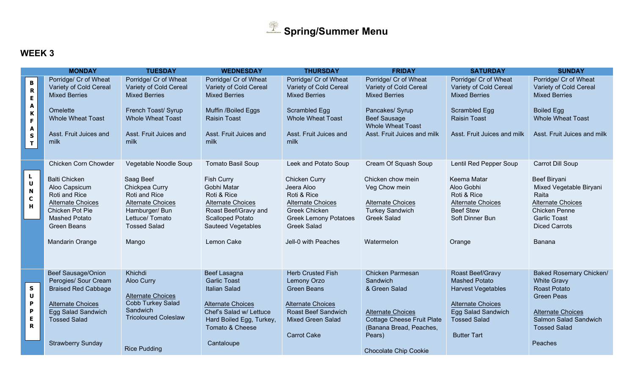

|                                                                                          | <b>MONDAY</b>                                                                                                                                                          | <b>TUESDAY</b>                                                                                                                                | <b>WEDNESDAY</b>                                                                                                                                                          | <b>THURSDAY</b>                                                                                                                                                                    | <b>FRIDAY</b>                                                                                                                | <b>SATURDAY</b>                                                                                                       | <b>SUNDAY</b>                                                                                                                                                 |
|------------------------------------------------------------------------------------------|------------------------------------------------------------------------------------------------------------------------------------------------------------------------|-----------------------------------------------------------------------------------------------------------------------------------------------|---------------------------------------------------------------------------------------------------------------------------------------------------------------------------|------------------------------------------------------------------------------------------------------------------------------------------------------------------------------------|------------------------------------------------------------------------------------------------------------------------------|-----------------------------------------------------------------------------------------------------------------------|---------------------------------------------------------------------------------------------------------------------------------------------------------------|
| $\, {\bf B} \,$<br>$\overline{\mathbf{R}}$<br>E<br>A<br>K                                | Porridge/ Cr of Wheat<br>Variety of Cold Cereal<br><b>Mixed Berries</b><br>Omelette<br><b>Whole Wheat Toast</b>                                                        | Porridge/ Cr of Wheat<br>Variety of Cold Cereal<br><b>Mixed Berries</b><br>French Toast/ Syrup<br><b>Whole Wheat Toast</b>                    | Porridge/ Cr of Wheat<br>Variety of Cold Cereal<br><b>Mixed Berries</b><br>Muffin /Boiled Eggs<br><b>Raisin Toast</b>                                                     | Porridge/ Cr of Wheat<br>Variety of Cold Cereal<br><b>Mixed Berries</b><br>Scrambled Egg<br><b>Whole Wheat Toast</b>                                                               | Porridge/ Cr of Wheat<br>Variety of Cold Cereal<br><b>Mixed Berries</b><br>Pancakes/ Syrup<br><b>Beef Sausage</b>            | Porridge/ Cr of Wheat<br>Variety of Cold Cereal<br><b>Mixed Berries</b><br>Scrambled Egg<br><b>Raisin Toast</b>       | Porridge/ Cr of Wheat<br>Variety of Cold Cereal<br><b>Mixed Berries</b><br><b>Boiled Egg</b><br><b>Whole Wheat Toast</b>                                      |
| F<br>A<br>$\sf{s}$<br>$\mathbf{T}$                                                       | Asst. Fruit Juices and<br>milk                                                                                                                                         | Asst. Fruit Juices and<br>milk                                                                                                                | Asst. Fruit Juices and<br>milk                                                                                                                                            | Asst. Fruit Juices and<br>milk                                                                                                                                                     | <b>Whole Wheat Toast</b><br>Asst. Fruit Juices and milk                                                                      | Asst. Fruit Juices and milk                                                                                           | Asst. Fruit Juices and milk                                                                                                                                   |
|                                                                                          | Chicken Corn Chowder                                                                                                                                                   | Vegetable Noodle Soup                                                                                                                         | <b>Tomato Basil Soup</b>                                                                                                                                                  | Leek and Potato Soup                                                                                                                                                               | Cream Of Squash Soup                                                                                                         | Lentil Red Pepper Soup                                                                                                | Carrot Dill Soup                                                                                                                                              |
| L<br>$\pmb{\pmb{\mathsf{U}}}$<br>$\boldsymbol{\mathsf{N}}$<br>$\mathbf C$<br>$\mathbf H$ | <b>Balti Chicken</b><br>Aloo Capsicum<br>Roti and Rice<br><b>Alternate Choices</b><br>Chicken Pot Pie<br><b>Mashed Potato</b><br><b>Green Beans</b><br>Mandarin Orange | Saag Beef<br>Chickpea Curry<br>Roti and Rice<br><b>Alternate Choices</b><br>Hamburger/ Bun<br>Lettuce/ Tomato<br><b>Tossed Salad</b><br>Mango | <b>Fish Curry</b><br>Gobhi Matar<br>Roti & Rice<br><b>Alternate Choices</b><br>Roast Beef/Gravy and<br><b>Scalloped Potato</b><br><b>Sauteed Vegetables</b><br>Lemon Cake | <b>Chicken Curry</b><br>Jeera Aloo<br>Roti & Rice<br><b>Alternate Choices</b><br><b>Greek Chicken</b><br><b>Greek Lemony Potatoes</b><br><b>Greek Salad</b><br>Jell-0 with Peaches | Chicken chow mein<br>Veg Chow mein<br><b>Alternate Choices</b><br><b>Turkey Sandwich</b><br><b>Greek Salad</b><br>Watermelon | Keema Matar<br>Aloo Gobhi<br>Roti & Rice<br><b>Alternate Choices</b><br><b>Beef Stew</b><br>Soft Dinner Bun<br>Orange | Beef Biryani<br>Mixed Vegetable Biryani<br>Raita<br><b>Alternate Choices</b><br><b>Chicken Penne</b><br><b>Garlic Toast</b><br><b>Diced Carrots</b><br>Banana |
|                                                                                          |                                                                                                                                                                        |                                                                                                                                               |                                                                                                                                                                           |                                                                                                                                                                                    |                                                                                                                              |                                                                                                                       |                                                                                                                                                               |
| $\mathsf S$<br>U<br>$\boldsymbol{\mathsf{P}}$                                            | <b>Beef Sausage/Onion</b><br>Perogies/ Sour Cream<br><b>Braised Red Cabbage</b><br><b>Alternate Choices</b>                                                            | Khichdi<br>Aloo Curry<br><b>Alternate Choices</b><br><b>Cobb Turkey Salad</b><br><b>Sandwich</b>                                              | Beef Lasagna<br><b>Garlic Toast</b><br><b>Italian Salad</b><br><b>Alternate Choices</b>                                                                                   | <b>Herb Crusted Fish</b><br>Lemony Orzo<br><b>Green Beans</b><br><b>Alternate Choices</b>                                                                                          | <b>Chicken Parmesan</b><br>Sandwich<br>& Green Salad                                                                         | Roast Beef/Gravy<br><b>Mashed Potato</b><br><b>Harvest Vegetables</b><br><b>Alternate Choices</b>                     | <b>Baked Rosemary Chicken/</b><br><b>White Gravy</b><br>Roast Potato<br><b>Green Peas</b>                                                                     |
| $\boldsymbol{\mathsf{P}}$<br>E<br>$\mathbf R$                                            | Egg Salad Sandwich<br><b>Tossed Salad</b>                                                                                                                              | <b>Tricoloured Coleslaw</b>                                                                                                                   | Chef's Salad w/ Lettuce<br>Hard Boiled Egg, Turkey,<br>Tomato & Cheese                                                                                                    | <b>Roast Beef Sandwich</b><br><b>Mixed Green Salad</b><br><b>Carrot Cake</b>                                                                                                       | <b>Alternate Choices</b><br><b>Cottage Cheese Fruit Plate</b><br>(Banana Bread, Peaches,<br>Pears)                           | Egg Salad Sandwich<br><b>Tossed Salad</b><br><b>Butter Tart</b>                                                       | <b>Alternate Choices</b><br><b>Salmon Salad Sandwich</b><br><b>Tossed Salad</b>                                                                               |
|                                                                                          | <b>Strawberry Sunday</b>                                                                                                                                               | <b>Rice Pudding</b>                                                                                                                           | Cantaloupe                                                                                                                                                                |                                                                                                                                                                                    | <b>Chocolate Chip Cookie</b>                                                                                                 |                                                                                                                       | Peaches                                                                                                                                                       |